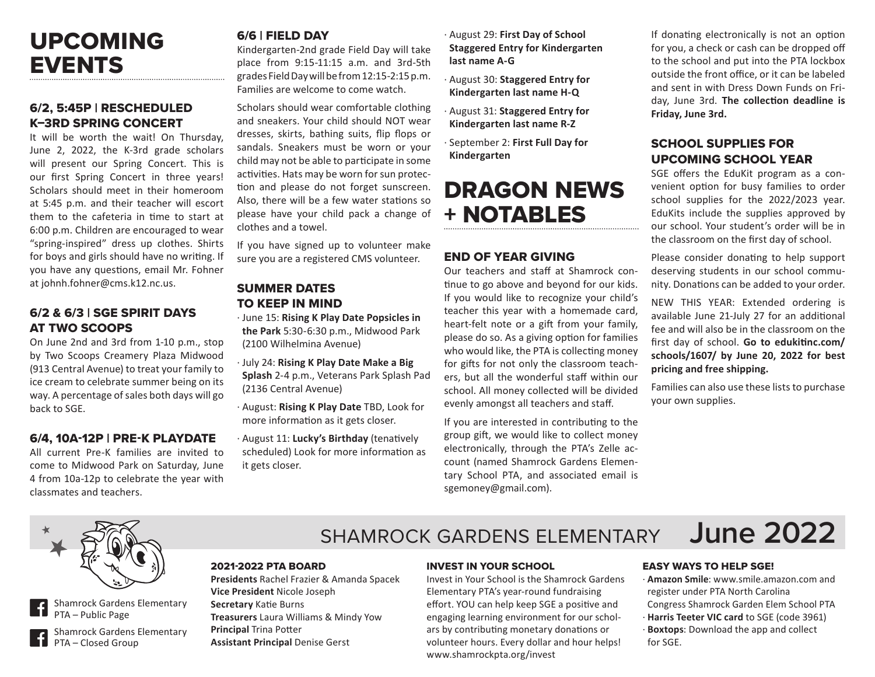# UPCOMING EVENTS

### 6/2, 5:45P | RESCHEDULED K–3RD SPRING CONCERT

It will be worth the wait! On Thursday, June 2, 2022, the K-3rd grade scholars will present our Spring Concert. This is our first Spring Concert in three years! Scholars should meet in their homeroom at 5:45 p.m. and their teacher will escort them to the cafeteria in time to start at 6:00 p.m. Children are encouraged to wear "spring-inspired" dress up clothes. Shirts for boys and girls should have no writing. If you have any questions, email Mr. Fohner at johnh.fohner@cms.k12.nc.us.

### 6/2 & 6/3 | SGE SPIRIT DAYS AT TWO SCOOPS

On June 2nd and 3rd from 1-10 p.m., stop by Two Scoops Creamery Plaza Midwood (913 Central Avenue) to treat your family to ice cream to celebrate summer being on its way. A percentage of sales both days will go back to SGE.

### 6/4, 10A-12P | PRE-K PLAYDATE

All current Pre-K families are invited to come to Midwood Park on Saturday, June 4 from 10a-12p to celebrate the year with classmates and teachers.

# 6/6 | FIELD DAY

Kindergarten-2nd grade Field Day will take place from 9:15-11:15 a.m. and 3rd-5th grades Field Day will be from 12:15-2:15 p.m. Families are welcome to come watch.

Scholars should wear comfortable clothing and sneakers. Your child should NOT wear dresses, skirts, bathing suits, flip flops or sandals. Sneakers must be worn or your child may not be able to participate in some activities. Hats may be worn for sun protection and please do not forget sunscreen. Also, there will be a few water stations so please have your child pack a change of clothes and a towel.

If you have signed up to volunteer make sure you are a registered CMS volunteer.

### SUMMER DATES TO KEEP IN MIND

- · June 15: **Rising K Play Date Popsicles in the Park** 5:30-6:30 p.m., Midwood Park (2100 Wilhelmina Avenue)
- · July 24: **Rising K Play Date Make a Big Splash** 2-4 p.m., Veterans Park Splash Pad (2136 Central Avenue)
- · August: **Rising K Play Date** TBD, Look for more information as it gets closer.
- · August 11: **Lucky's Birthday** (tenatively scheduled) Look for more information as it gets closer.
- · August 29: **First Day of School Staggered Entry for Kindergarten last name A-G**
- · August 30: **Staggered Entry for Kindergarten last name H-Q**
- · August 31: **Staggered Entry for Kindergarten last name R-Z**
- · September 2: **First Full Day for Kindergarten**

# DRAGON NEWS + NOTABLES

### END OF YEAR GIVING

Our teachers and staff at Shamrock continue to go above and beyond for our kids. If you would like to recognize your child's teacher this year with a homemade card, heart-felt note or a gift from your family, please do so. As a giving option for families who would like, the PTA is collecting money for gifts for not only the classroom teachers, but all the wonderful staff within our school. All money collected will be divided evenly amongst all teachers and staff.

If you are interested in contributing to the group gift, we would like to collect money electronically, through the PTA's Zelle account (named Shamrock Gardens Elementary School PTA, and associated email is sgemoney@gmail.com).

If donating electronically is not an option for you, a check or cash can be dropped off to the school and put into the PTA lockbox outside the front office, or it can be labeled and sent in with Dress Down Funds on Friday, June 3rd. **The collection deadline is Friday, June 3rd.**

### SCHOOL SUPPLIES FOR UPCOMING SCHOOL YEAR

SGE offers the EduKit program as a convenient option for busy families to order school supplies for the 2022/2023 year. EduKits include the supplies approved by our school. Your student's order will be in the classroom on the first day of school.

Please consider donating to help support deserving students in our school community. Donations can be added to your order.

NEW THIS YEAR: Extended ordering is available June 21-July 27 for an additional fee and will also be in the classroom on the first day of school. **Go to edukitinc.com/ schools/1607/ by June 20, 2022 for best pricing and free shipping.**

Families can also use these lists to purchase your own supplies.



Shamrock Gardens Elementary PTA – Public Page

Shamrock Gardens Elementary PTA – Closed Group

# SHAMROCK GARDENS ELEMENTARY **June 2022**

#### 2021-2022 PTA BOARD

**Presidents** Rachel Frazier & Amanda Spacek **Vice President** Nicole Joseph **Secretary** Katie Burns **Treasurers** Laura Williams & Mindy Yow **Principal** Trina Potter **Assistant Principal** Denise Gerst

#### INVEST IN YOUR SCHOOL

Invest in Your School is the Shamrock Gardens Elementary PTA's year-round fundraising effort. YOU can help keep SGE a positive and engaging learning environment for our scholars by contributing monetary donations or volunteer hours. Every dollar and hour helps! www.shamrockpta.org/invest

EASY WAYS TO HELP SGE!

- · **Amazon Smile**: www.smile.amazon.com and register under PTA North Carolina
- Congress Shamrock Garden Elem School PTA · **Harris Teeter VIC card** to SGE (code 3961)
- · **Boxtops**: Download the app and collect for SGE.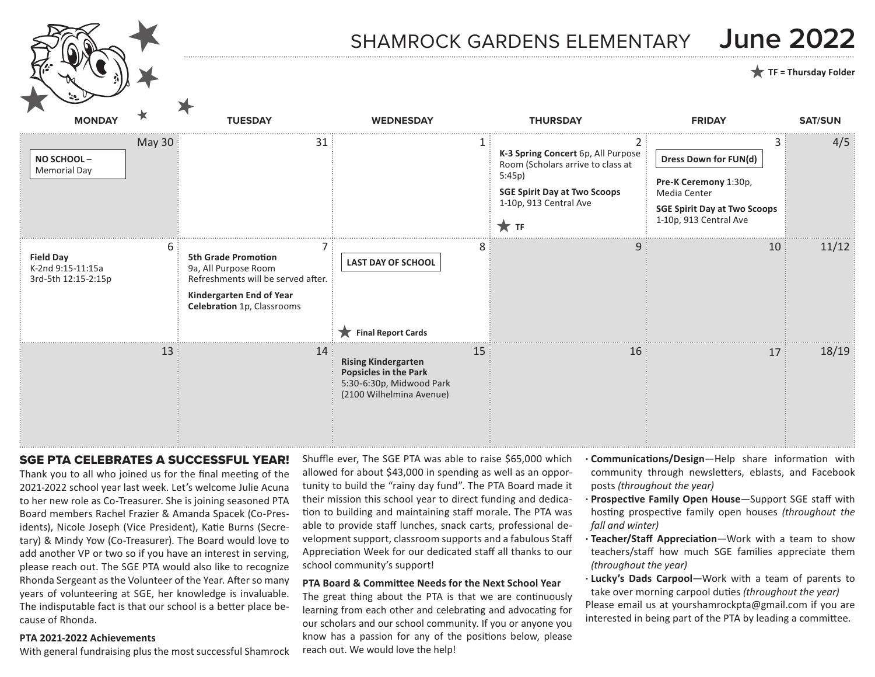# SHAMROCK GARDENS ELEMENTARY **June 2022**

### **TF = Thursday Folder**

**MONDAY TUESDAY WEDNESDAY THURSDAY FRIDAY SAT/SUN** May 30  $\vert$  31  $\vert$  31  $\vert$  31  $\vert$  31  $\vert$  31  $\vert$  31  $\vert$  4/5  $\begin{array}{ccc} 6 & 7 & 8 & 9 & 11/12 \end{array}$  $\begin{array}{|c|c|c|c|c|c|}\hline \text{13} & \text{14} & \text{15} & \text{16} & \text{17} & \text{18/19} \ \hline \end{array}$ **NO SCHOOL** – Memorial Day **LAST DAY OF SCHOOL Dress Down for FUN(d) TF Final Report Cards K-3 Spring Concert** 6p, All Purpose Room (Scholars arrive to class at 5:45p) **SGE Spirit Day at Two Scoops** 1-10p, 913 Central Ave **Field Day** K-2nd 9:15-11:15a 3rd-5th 12:15-2:15p **Rising Kindergarten Popsicles in the Park** 5:30-6:30p, Midwood Park (2100 Wilhelmina Avenue) **5th Grade Promotion**  9a, All Purpose Room Refreshments will be served after. **Kindergarten End of Year Celebration** 1p, Classrooms **Pre-K Ceremony** 1:30p, Media Center **SGE Spirit Day at Two Scoops** 1-10p, 913 Central Ave

### SGE PTA CELEBRATES A SUCCESSFUL YEAR!

Thank you to all who joined us for the final meeting of the 2021-2022 school year last week. Let's welcome Julie Acuna to her new role as Co-Treasurer. She is joining seasoned PTA Board members Rachel Frazier & Amanda Spacek (Co-Presidents), Nicole Joseph (Vice President), Katie Burns (Secretary) & Mindy Yow (Co-Treasurer). The Board would love to add another VP or two so if you have an interest in serving, please reach out. The SGE PTA would also like to recognize Rhonda Sergeant as the Volunteer of the Year. After so many years of volunteering at SGE, her knowledge is invaluable. The indisputable fact is that our school is a better place because of Rhonda.

#### **PTA 2021-2022 Achievements**

With general fundraising plus the most successful Shamrock

Shuffle ever, The SGE PTA was able to raise \$65,000 which allowed for about \$43,000 in spending as well as an opportunity to build the "rainy day fund". The PTA Board made it their mission this school year to direct funding and dedication to building and maintaining staff morale. The PTA was able to provide staff lunches, snack carts, professional development support, classroom supports and a fabulous Staff Appreciation Week for our dedicated staff all thanks to our school community's support!

#### **PTA Board & Committee Needs for the Next School Year**

The great thing about the PTA is that we are continuously learning from each other and celebrating and advocating for our scholars and our school community. If you or anyone you know has a passion for any of the positions below, please reach out. We would love the help!

- **· Communications/Design**—Help share information with community through newsletters, eblasts, and Facebook posts *(throughout the year)*
- **· Prospective Family Open House**—Support SGE staff with hosting prospective family open houses *(throughout the fall and winter)*
- **· Teacher/Staff Appreciation**—Work with a team to show teachers/staff how much SGE families appreciate them *(throughout the year)*
- **· Lucky's Dads Carpool**—Work with a team of parents to take over morning carpool duties *(throughout the year)* Please email us at yourshamrockpta@gmail.com if you are interested in being part of the PTA by leading a committee.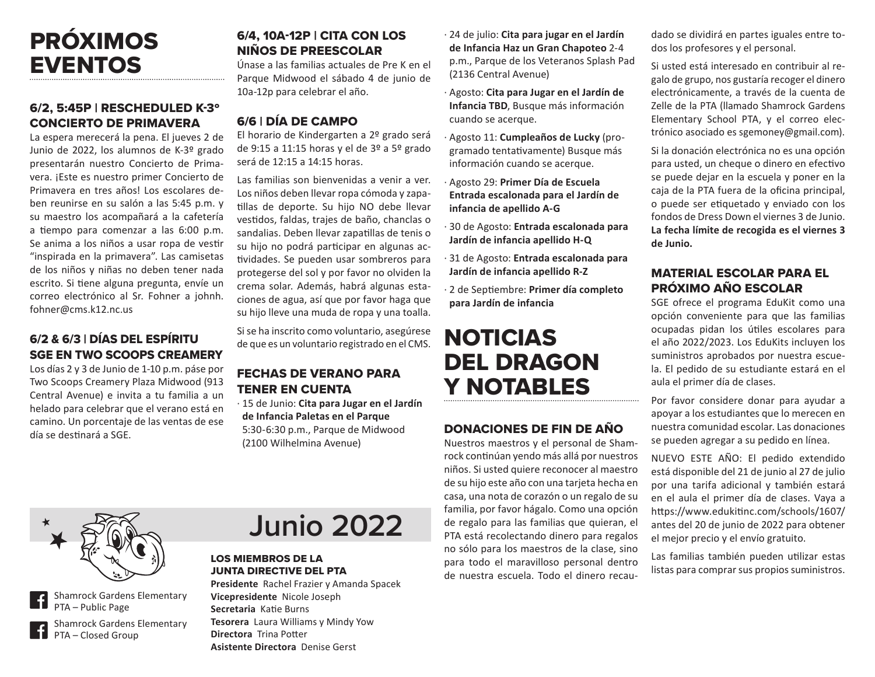# PRÓXIMOS EVENTOS

## 6/2, 5:45P | RESCHEDULED K-3º CONCIERTO DE PRIMAVERA

La espera merecerá la pena. El jueves 2 de Junio de 2022, los alumnos de K-3º grado presentarán nuestro Concierto de Primavera. ¡Este es nuestro primer Concierto de Primavera en tres años! Los escolares deben reunirse en su salón a las 5:45 p.m. y su maestro los acompañará a la cafetería a tiempo para comenzar a las 6:00 p.m. Se anima a los niños a usar ropa de vestir "inspirada en la primavera". Las camisetas de los niños y niñas no deben tener nada escrito. Si tiene alguna pregunta, envíe un correo electrónico al Sr. Fohner a johnh. fohner@cms.k12.nc.us

## 6/2 & 6/3 | DÍAS DEL ESPÍRITU SGE EN TWO SCOOPS CREAMERY

Los días 2 y 3 de Junio de 1-10 p.m. páse por Two Scoops Creamery Plaza Midwood (913 Central Avenue) e invita a tu familia a un helado para celebrar que el verano está en camino. Un porcentaje de las ventas de ese día se destinará a SGE.

### 6/4, 10A-12P | CITA CON LOS NIÑOS DE PREESCOLAR

Únase a las familias actuales de Pre K en el Parque Midwood el sábado 4 de junio de 10a-12p para celebrar el año.

# 6/6 | DÍA DE CAMPO

El horario de Kindergarten a 2º grado será de 9:15 a 11:15 horas y el de 3º a 5º grado será de 12:15 a 14:15 horas.

Las familias son bienvenidas a venir a ver. Los niños deben llevar ropa cómoda y zapatillas de deporte. Su hijo NO debe llevar vestidos, faldas, trajes de baño, chanclas o sandalias. Deben llevar zapatillas de tenis o su hijo no podrá participar en algunas actividades. Se pueden usar sombreros para protegerse del sol y por favor no olviden la crema solar. Además, habrá algunas estaciones de agua, así que por favor haga que su hijo lleve una muda de ropa y una toalla.

Si se ha inscrito como voluntario, asegúrese de que es un voluntario registrado en el CMS.

### FECHAS DE VERANO PARA TENER EN CUENTA

· 15 de Junio: **Cita para Jugar en el Jardín de Infancia Paletas en el Parque** 5:30-6:30 p.m., Parque de Midwood (2100 Wilhelmina Avenue)

- · 24 de julio: **Cita para jugar en el Jardín de Infancia Haz un Gran Chapoteo** 2-4 p.m., Parque de los Veteranos Splash Pad (2136 Central Avenue)
- · Agosto: **Cita para Jugar en el Jardín de Infancia TBD**, Busque más información cuando se acerque.
- · Agosto 11: **Cumpleaños de Lucky** (programado tentativamente) Busque más información cuando se acerque.
- · Agosto 29: **Primer Día de Escuela Entrada escalonada para el Jardín de infancia de apellido A-G**
- · 30 de Agosto: **Entrada escalonada para Jardín de infancia apellido H-Q**
- · 31 de Agosto: **Entrada escalonada para Jardín de infancia apellido R-Z**
- · 2 de Septiembre: **Primer día completo para Jardín de infancia**

# NOTICIAS DEL DRAGON Y NOTABLES

### DONACIONES DE FIN DE AÑO

Nuestros maestros y el personal de Shamrock continúan yendo más allá por nuestros niños. Si usted quiere reconocer al maestro de su hijo este año con una tarjeta hecha en casa, una nota de corazón o un regalo de su familia, por favor hágalo. Como una opción de regalo para las familias que quieran, el PTA está recolectando dinero para regalos no sólo para los maestros de la clase, sino para todo el maravilloso personal dentro de nuestra escuela. Todo el dinero recaudado se dividirá en partes iguales entre todos los profesores y el personal.

Si usted está interesado en contribuir al regalo de grupo, nos gustaría recoger el dinero electrónicamente, a través de la cuenta de Zelle de la PTA (llamado Shamrock Gardens Elementary School PTA, y el correo electrónico asociado es sgemoney@gmail.com).

Si la donación electrónica no es una opción para usted, un cheque o dinero en efectivo se puede dejar en la escuela y poner en la caja de la PTA fuera de la oficina principal, o puede ser etiquetado y enviado con los fondos de Dress Down el viernes 3 de Junio. **La fecha límite de recogida es el viernes 3 de Junio.**

### MATERIAL ESCOLAR PARA EL PRÓXIMO AÑO ESCOLAR

SGE ofrece el programa EduKit como una opción conveniente para que las familias ocupadas pidan los útiles escolares para el año 2022/2023. Los EduKits incluyen los suministros aprobados por nuestra escuela. El pedido de su estudiante estará en el aula el primer día de clases.

Por favor considere donar para ayudar a apoyar a los estudiantes que lo merecen en nuestra comunidad escolar. Las donaciones se pueden agregar a su pedido en línea.

NUEVO ESTE AÑO: El pedido extendido está disponible del 21 de junio al 27 de julio por una tarifa adicional y también estará en el aula el primer día de clases. Vaya a https://www.edukitinc.com/schools/1607/ antes del 20 de junio de 2022 para obtener el mejor precio y el envío gratuito.

Las familias también pueden utilizar estas listas para comprar sus propios suministros.



Shamrock Gardens Elementary PTA – Public Page

Shamrock Gardens Elementary PTA – Closed Group

# **Junio 2022**

#### LOS MIEMBROS DE LA JUNTA DIRECTIVE DEL PTA

**Presidente** Rachel Frazier y Amanda Spacek **Vicepresidente** Nicole Joseph **Secretaria** Katie Burns **Tesorera** Laura Williams y Mindy Yow **Directora** Trina Potter **Asistente Directora** Denise Gerst